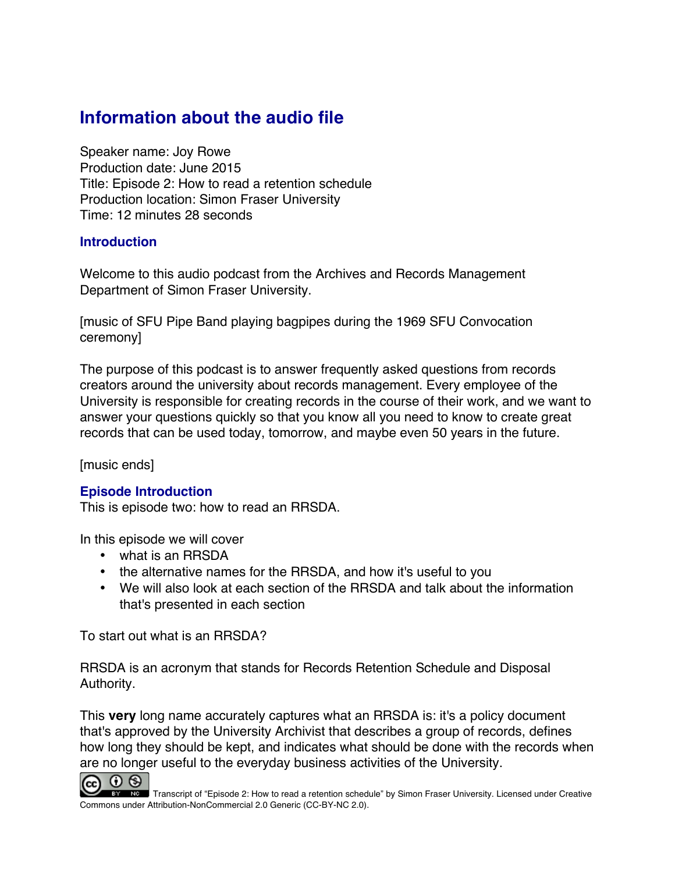# **Information about the audio file**

Speaker name: Joy Rowe Production date: June 2015 Title: Episode 2: How to read a retention schedule Production location: Simon Fraser University Time: 12 minutes 28 seconds

### **Introduction**

Welcome to this audio podcast from the Archives and Records Management Department of Simon Fraser University.

[music of SFU Pipe Band playing bagpipes during the 1969 SFU Convocation ceremony]

The purpose of this podcast is to answer frequently asked questions from records creators around the university about records management. Every employee of the University is responsible for creating records in the course of their work, and we want to answer your questions quickly so that you know all you need to know to create great records that can be used today, tomorrow, and maybe even 50 years in the future.

[music ends]

### **Episode Introduction**

This is episode two: how to read an RRSDA.

In this episode we will cover

- what is an RRSDA
- the alternative names for the RRSDA, and how it's useful to you
- We will also look at each section of the RRSDA and talk about the information that's presented in each section

To start out what is an RRSDA?

RRSDA is an acronym that stands for Records Retention Schedule and Disposal Authority.

This **very** long name accurately captures what an RRSDA is: it's a policy document that's approved by the University Archivist that describes a group of records, defines how long they should be kept, and indicates what should be done with the records when are no longer useful to the everyday business activities of the University.



Transcript of "Episode 2: How to read a retention schedule" by Simon Fraser University. Licensed under Creative Commons under Attribution-NonCommercial 2.0 Generic (CC-BY-NC 2.0).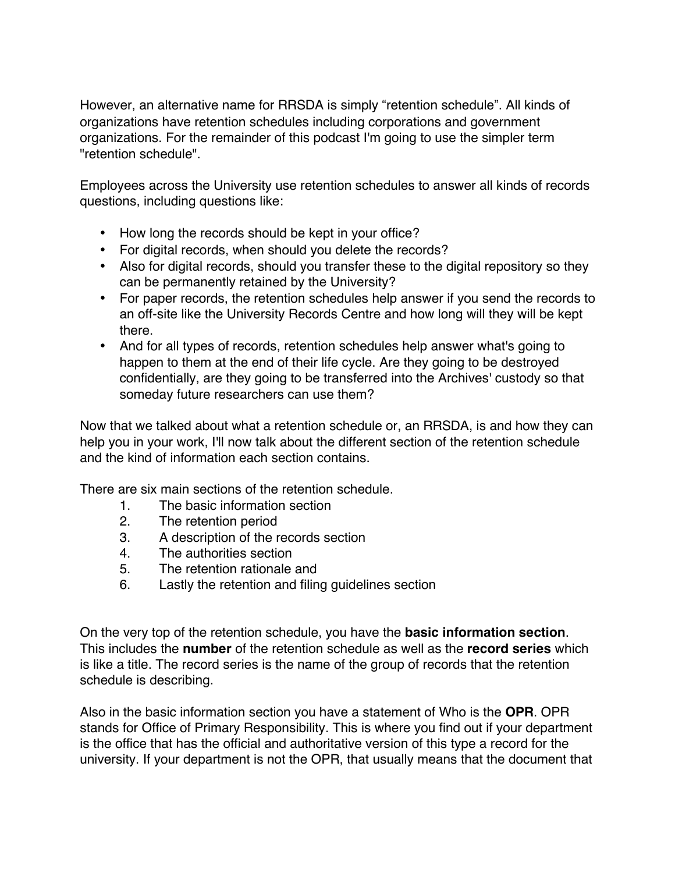However, an alternative name for RRSDA is simply "retention schedule". All kinds of organizations have retention schedules including corporations and government organizations. For the remainder of this podcast I'm going to use the simpler term "retention schedule".

Employees across the University use retention schedules to answer all kinds of records questions, including questions like:

- How long the records should be kept in your office?
- For digital records, when should you delete the records?
- Also for digital records, should you transfer these to the digital repository so they can be permanently retained by the University?
- For paper records, the retention schedules help answer if you send the records to an off-site like the University Records Centre and how long will they will be kept there.
- And for all types of records, retention schedules help answer what's going to happen to them at the end of their life cycle. Are they going to be destroyed confidentially, are they going to be transferred into the Archives' custody so that someday future researchers can use them?

Now that we talked about what a retention schedule or, an RRSDA, is and how they can help you in your work, I'll now talk about the different section of the retention schedule and the kind of information each section contains.

There are six main sections of the retention schedule.

- 1. The basic information section
- 2. The retention period
- 3. A description of the records section
- 4. The authorities section
- 5. The retention rationale and
- 6. Lastly the retention and filing guidelines section

On the very top of the retention schedule, you have the **basic information section**. This includes the **number** of the retention schedule as well as the **record series** which is like a title. The record series is the name of the group of records that the retention schedule is describing.

Also in the basic information section you have a statement of Who is the **OPR**. OPR stands for Office of Primary Responsibility. This is where you find out if your department is the office that has the official and authoritative version of this type a record for the university. If your department is not the OPR, that usually means that the document that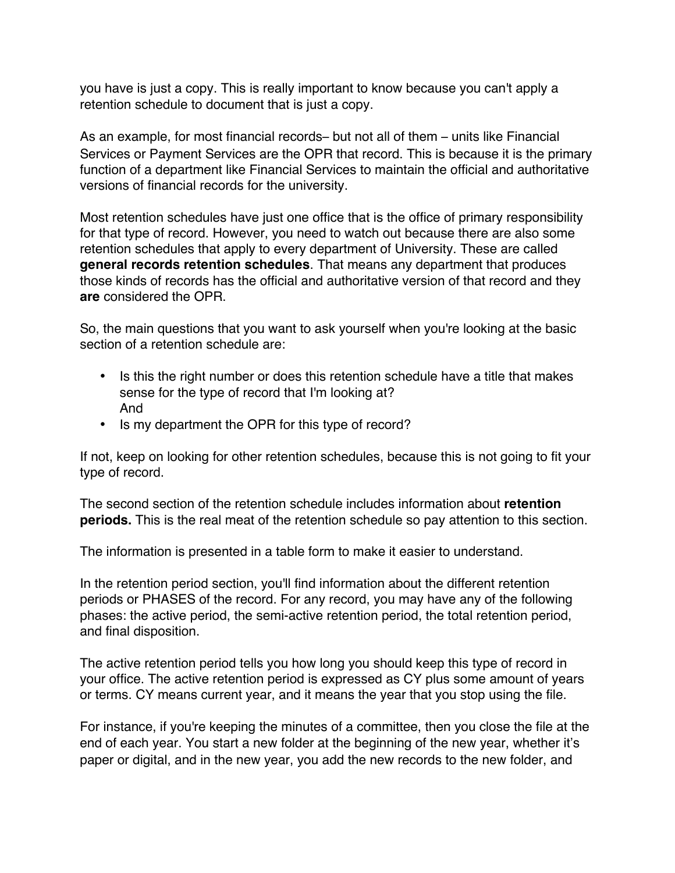you have is just a copy. This is really important to know because you can't apply a retention schedule to document that is just a copy.

As an example, for most financial records– but not all of them – units like Financial Services or Payment Services are the OPR that record. This is because it is the primary function of a department like Financial Services to maintain the official and authoritative versions of financial records for the university.

Most retention schedules have just one office that is the office of primary responsibility for that type of record. However, you need to watch out because there are also some retention schedules that apply to every department of University. These are called **general records retention schedules**. That means any department that produces those kinds of records has the official and authoritative version of that record and they **are** considered the OPR.

So, the main questions that you want to ask yourself when you're looking at the basic section of a retention schedule are:

- Is this the right number or does this retention schedule have a title that makes sense for the type of record that I'm looking at? And
- Is my department the OPR for this type of record?

If not, keep on looking for other retention schedules, because this is not going to fit your type of record.

The second section of the retention schedule includes information about **retention periods.** This is the real meat of the retention schedule so pay attention to this section.

The information is presented in a table form to make it easier to understand.

In the retention period section, you'll find information about the different retention periods or PHASES of the record. For any record, you may have any of the following phases: the active period, the semi-active retention period, the total retention period, and final disposition.

The active retention period tells you how long you should keep this type of record in your office. The active retention period is expressed as CY plus some amount of years or terms. CY means current year, and it means the year that you stop using the file.

For instance, if you're keeping the minutes of a committee, then you close the file at the end of each year. You start a new folder at the beginning of the new year, whether it's paper or digital, and in the new year, you add the new records to the new folder, and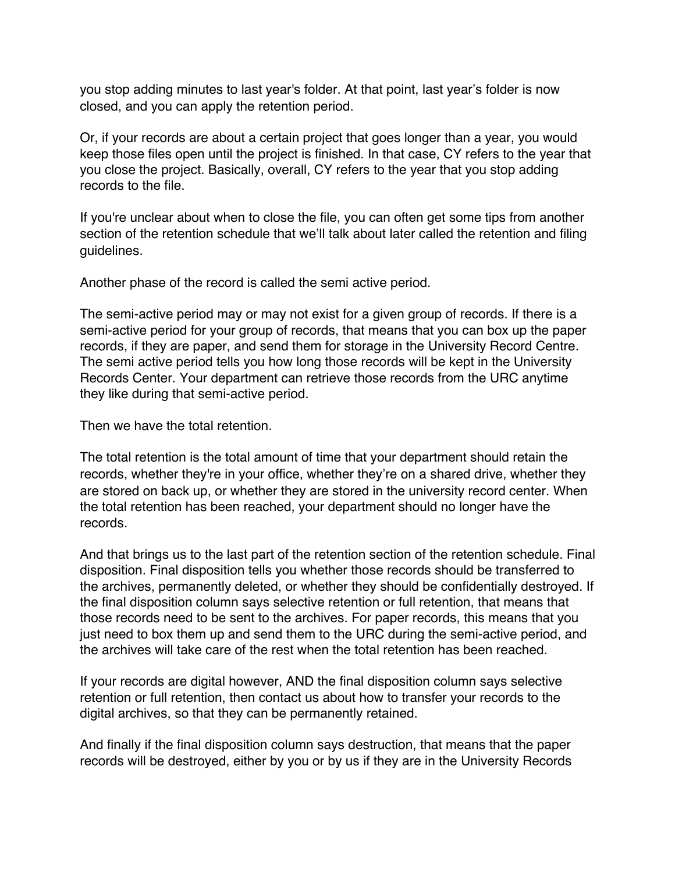you stop adding minutes to last year's folder. At that point, last year's folder is now closed, and you can apply the retention period.

Or, if your records are about a certain project that goes longer than a year, you would keep those files open until the project is finished. In that case, CY refers to the year that you close the project. Basically, overall, CY refers to the year that you stop adding records to the file.

If you're unclear about when to close the file, you can often get some tips from another section of the retention schedule that we'll talk about later called the retention and filing guidelines.

Another phase of the record is called the semi active period.

The semi-active period may or may not exist for a given group of records. If there is a semi-active period for your group of records, that means that you can box up the paper records, if they are paper, and send them for storage in the University Record Centre. The semi active period tells you how long those records will be kept in the University Records Center. Your department can retrieve those records from the URC anytime they like during that semi-active period.

Then we have the total retention.

The total retention is the total amount of time that your department should retain the records, whether they're in your office, whether they're on a shared drive, whether they are stored on back up, or whether they are stored in the university record center. When the total retention has been reached, your department should no longer have the records.

And that brings us to the last part of the retention section of the retention schedule. Final disposition. Final disposition tells you whether those records should be transferred to the archives, permanently deleted, or whether they should be confidentially destroyed. If the final disposition column says selective retention or full retention, that means that those records need to be sent to the archives. For paper records, this means that you just need to box them up and send them to the URC during the semi-active period, and the archives will take care of the rest when the total retention has been reached.

If your records are digital however, AND the final disposition column says selective retention or full retention, then contact us about how to transfer your records to the digital archives, so that they can be permanently retained.

And finally if the final disposition column says destruction, that means that the paper records will be destroyed, either by you or by us if they are in the University Records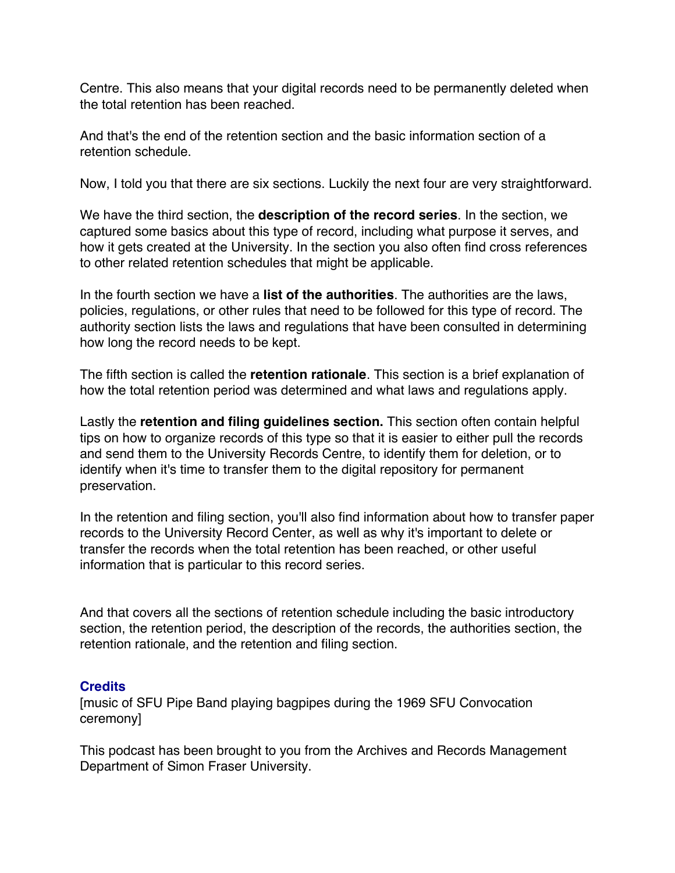Centre. This also means that your digital records need to be permanently deleted when the total retention has been reached.

And that's the end of the retention section and the basic information section of a retention schedule.

Now, I told you that there are six sections. Luckily the next four are very straightforward.

We have the third section, the **description of the record series**. In the section, we captured some basics about this type of record, including what purpose it serves, and how it gets created at the University. In the section you also often find cross references to other related retention schedules that might be applicable.

In the fourth section we have a **list of the authorities**. The authorities are the laws, policies, regulations, or other rules that need to be followed for this type of record. The authority section lists the laws and regulations that have been consulted in determining how long the record needs to be kept.

The fifth section is called the **retention rationale**. This section is a brief explanation of how the total retention period was determined and what laws and regulations apply.

Lastly the **retention and filing guidelines section.** This section often contain helpful tips on how to organize records of this type so that it is easier to either pull the records and send them to the University Records Centre, to identify them for deletion, or to identify when it's time to transfer them to the digital repository for permanent preservation.

In the retention and filing section, you'll also find information about how to transfer paper records to the University Record Center, as well as why it's important to delete or transfer the records when the total retention has been reached, or other useful information that is particular to this record series.

And that covers all the sections of retention schedule including the basic introductory section, the retention period, the description of the records, the authorities section, the retention rationale, and the retention and filing section.

# **Credits**

[music of SFU Pipe Band playing bagpipes during the 1969 SFU Convocation ceremony]

This podcast has been brought to you from the Archives and Records Management Department of Simon Fraser University.